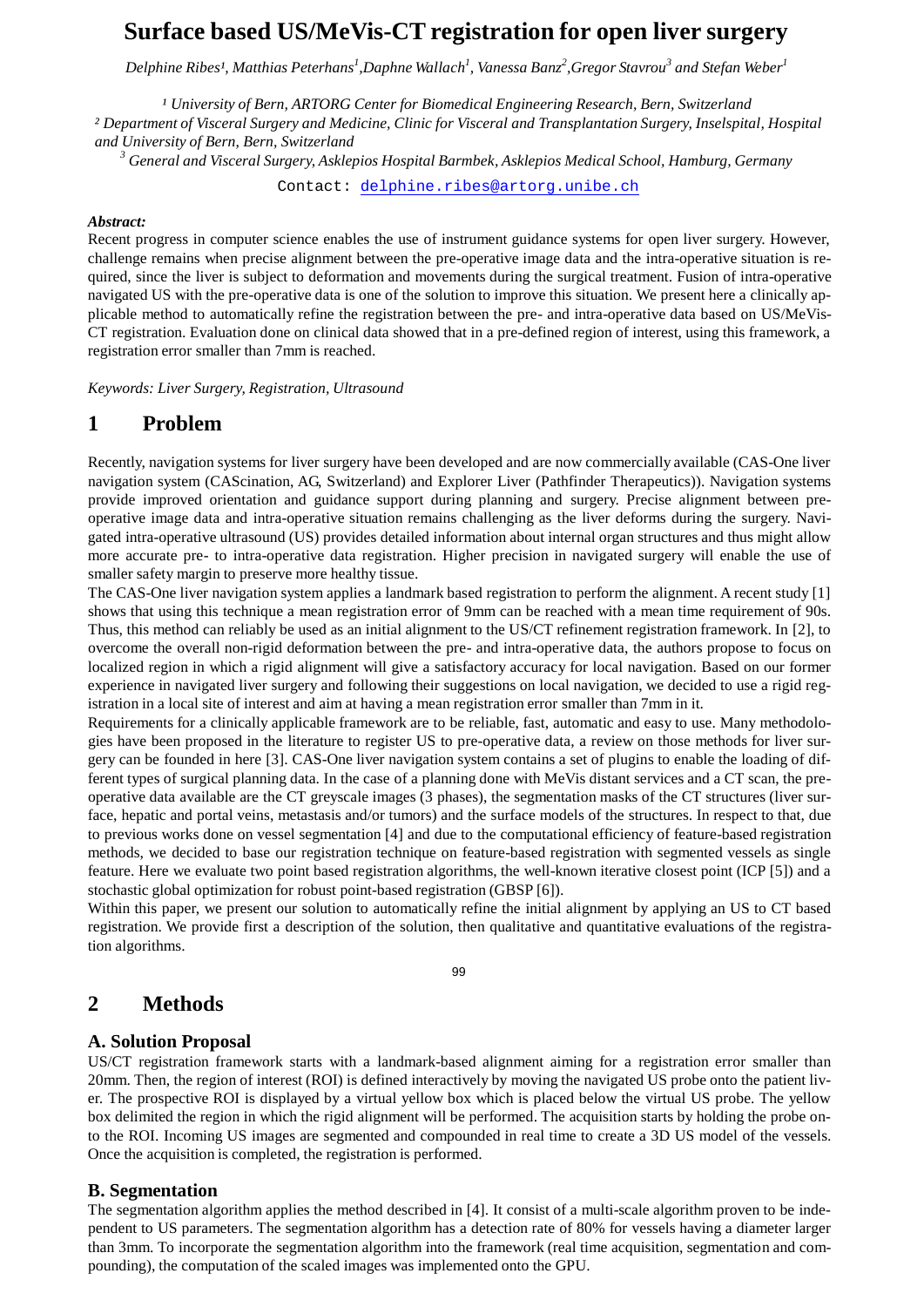# **Surface based US/MeVis-CT registration for open liver surgery**

Delphine Ribes<sup>1</sup>, Matthias Peterhans<sup>1</sup>,Daphne Wallach<sup>1</sup>, Vanessa Banz<sup>2</sup>,Gregor Stavrou<sup>3</sup> and Stefan Weber<sup>1</sup>

*¹ University of Bern, ARTORG Center for Biomedical Engineering Research, Bern, Switzerland*

*² Department of Visceral Surgery and Medicine, Clinic for Visceral and Transplantation Surgery, Inselspital, Hospital and University of Bern, Bern, Switzerland*

*<sup>3</sup> General and Visceral Surgery, Asklepios Hospital Barmbek, Asklepios Medical School, Hamburg, Germany*

Contact: [delphine.ribes@artorg.unibe.ch](mailto:delphine.ribes@artorg.unibe.ch)

#### *Abstract:*

Recent progress in computer science enables the use of instrument guidance systems for open liver surgery. However, challenge remains when precise alignment between the pre-operative image data and the intra-operative situation is required, since the liver is subject to deformation and movements during the surgical treatment. Fusion of intra-operative navigated US with the pre-operative data is one of the solution to improve this situation. We present here a clinically applicable method to automatically refine the registration between the pre- and intra-operative data based on US/MeVis-CT registration. Evaluation done on clinical data showed that in a pre-defined region of interest, using this framework, a registration error smaller than 7mm is reached.

*Keywords: Liver Surgery, Registration, Ultrasound*

### **1 Problem**

Recently, navigation systems for liver surgery have been developed and are now commercially available (CAS-One liver navigation system (CAScination, AG, Switzerland) and Explorer Liver (Pathfinder Therapeutics)). Navigation systems provide improved orientation and guidance support during planning and surgery. Precise alignment between preoperative image data and intra-operative situation remains challenging as the liver deforms during the surgery. Navigated intra-operative ultrasound (US) provides detailed information about internal organ structures and thus might allow more accurate pre- to intra-operative data registration. Higher precision in navigated surgery will enable the use of smaller safety margin to preserve more healthy tissue.

The CAS-One liver navigation system applies a landmark based registration to perform the alignment. A recent study [1] shows that using this technique a mean registration error of 9mm can be reached with a mean time requirement of 90s. Thus, this method can reliably be used as an initial alignment to the US/CT refinement registration framework. In [2], to overcome the overall non-rigid deformation between the pre- and intra-operative data, the authors propose to focus on localized region in which a rigid alignment will give a satisfactory accuracy for local navigation. Based on our former experience in navigated liver surgery and following their suggestions on local navigation, we decided to use a rigid registration in a local site of interest and aim at having a mean registration error smaller than 7mm in it.

Requirements for a clinically applicable framework are to be reliable, fast, automatic and easy to use. Many methodologies have been proposed in the literature to register US to pre-operative data, a review on those methods for liver surgery can be founded in here [3]. CAS-One liver navigation system contains a set of plugins to enable the loading of different types of surgical planning data. In the case of a planning done with MeVis distant services and a CT scan, the preoperative data available are the CT greyscale images (3 phases), the segmentation masks of the CT structures (liver surface, hepatic and portal veins, metastasis and/or tumors) and the surface models of the structures. In respect to that, due to previous works done on vessel segmentation [4] and due to the computational efficiency of feature-based registration methods, we decided to base our registration technique on feature-based registration with segmented vessels as single feature. Here we evaluate two point based registration algorithms, the well-known iterative closest point (ICP [5]) and a stochastic global optimization for robust point-based registration (GBSP [6]).

Within this paper, we present our solution to automatically refine the initial alignment by applying an US to CT based registration. We provide first a description of the solution, then qualitative and quantitative evaluations of the registration algorithms.

99

### **2 Methods**

#### **A. Solution Proposal**

US/CT registration framework starts with a landmark-based alignment aiming for a registration error smaller than 20mm. Then, the region of interest (ROI) is defined interactively by moving the navigated US probe onto the patient liver. The prospective ROI is displayed by a virtual yellow box which is placed below the virtual US probe. The yellow box delimited the region in which the rigid alignment will be performed. The acquisition starts by holding the probe onto the ROI. Incoming US images are segmented and compounded in real time to create a 3D US model of the vessels. Once the acquisition is completed, the registration is performed.

#### **B. Segmentation**

The segmentation algorithm applies the method described in [4]. It consist of a multi-scale algorithm proven to be independent to US parameters. The segmentation algorithm has a detection rate of 80% for vessels having a diameter larger than 3mm. To incorporate the segmentation algorithm into the framework (real time acquisition, segmentation and compounding), the computation of the scaled images was implemented onto the GPU.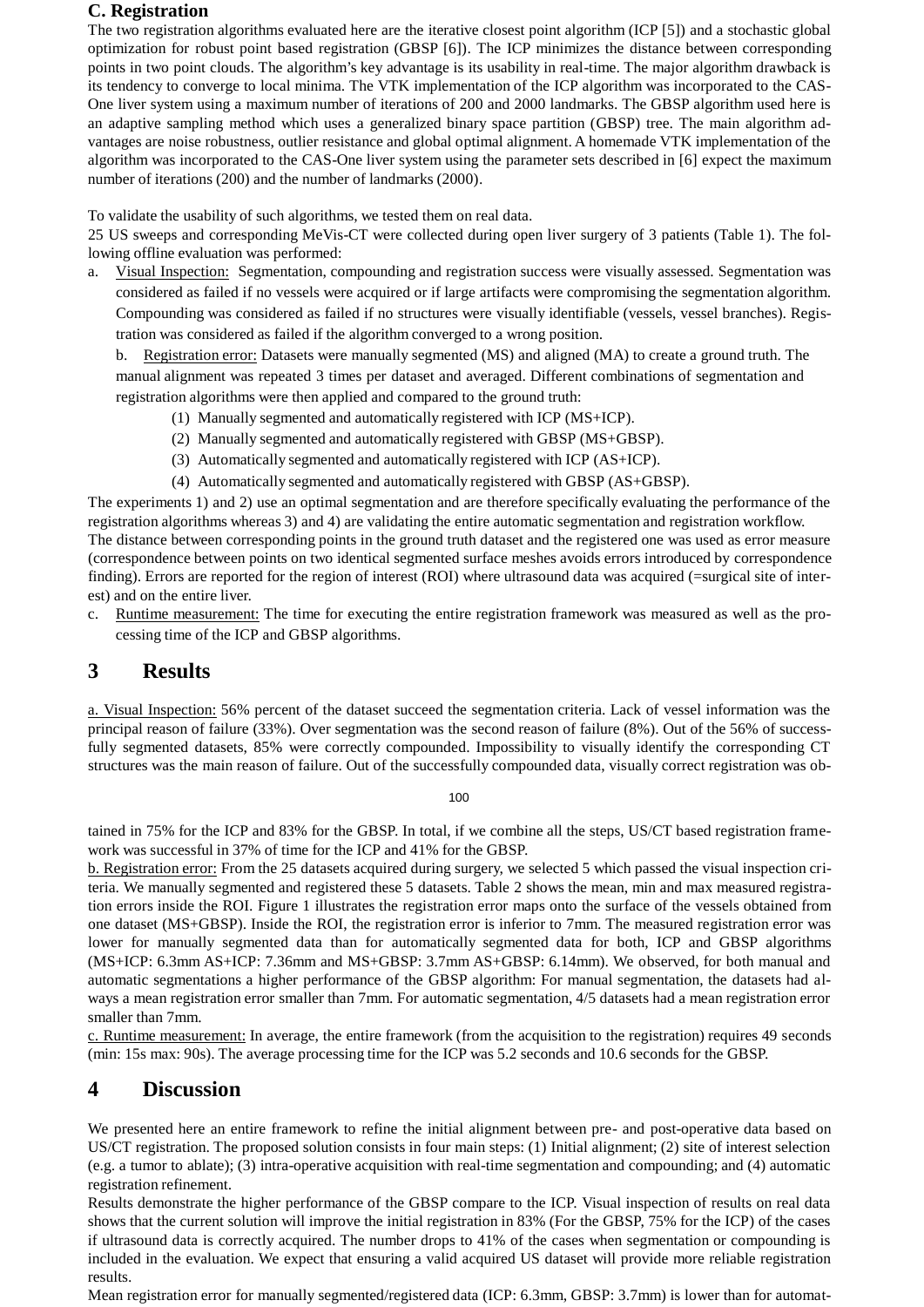### **C. Registration**

The two registration algorithms evaluated here are the iterative closest point algorithm (ICP [5]) and a stochastic global optimization for robust point based registration (GBSP [6]). The ICP minimizes the distance between corresponding points in two point clouds. The algorithm's key advantage is its usability in real-time. The major algorithm drawback is its tendency to converge to local minima. The VTK implementation of the ICP algorithm was incorporated to the CAS-One liver system using a maximum number of iterations of 200 and 2000 landmarks. The GBSP algorithm used here is an adaptive sampling method which uses a generalized binary space partition (GBSP) tree. The main algorithm advantages are noise robustness, outlier resistance and global optimal alignment. A homemade VTK implementation of the algorithm was incorporated to the CAS-One liver system using the parameter sets described in [6] expect the maximum number of iterations (200) and the number of landmarks (2000).

To validate the usability of such algorithms, we tested them on real data.

25 US sweeps and corresponding MeVis-CT were collected during open liver surgery of 3 patients (Table 1). The following offline evaluation was performed:

a. Visual Inspection: Segmentation, compounding and registration success were visually assessed. Segmentation was considered as failed if no vessels were acquired or if large artifacts were compromising the segmentation algorithm. Compounding was considered as failed if no structures were visually identifiable (vessels, vessel branches). Registration was considered as failed if the algorithm converged to a wrong position.

b. Registration error: Datasets were manually segmented (MS) and aligned (MA) to create a ground truth. The manual alignment was repeated 3 times per dataset and averaged. Different combinations of segmentation and registration algorithms were then applied and compared to the ground truth:

- (1) Manually segmented and automatically registered with ICP (MS+ICP).
- (2) Manually segmented and automatically registered with GBSP (MS+GBSP).
- (3) Automatically segmented and automatically registered with ICP (AS+ICP).
- (4) Automatically segmented and automatically registered with GBSP (AS+GBSP).

The experiments 1) and 2) use an optimal segmentation and are therefore specifically evaluating the performance of the registration algorithms whereas 3) and 4) are validating the entire automatic segmentation and registration workflow. The distance between corresponding points in the ground truth dataset and the registered one was used as error measure (correspondence between points on two identical segmented surface meshes avoids errors introduced by correspondence finding). Errors are reported for the region of interest (ROI) where ultrasound data was acquired (=surgical site of interest) and on the entire liver.

c. Runtime measurement: The time for executing the entire registration framework was measured as well as the processing time of the ICP and GBSP algorithms.

## **3 Results**

a. Visual Inspection: 56% percent of the dataset succeed the segmentation criteria. Lack of vessel information was the principal reason of failure (33%). Over segmentation was the second reason of failure (8%). Out of the 56% of successfully segmented datasets, 85% were correctly compounded. Impossibility to visually identify the corresponding CT structures was the main reason of failure. Out of the successfully compounded data, visually correct registration was ob-

100

tained in 75% for the ICP and 83% for the GBSP. In total, if we combine all the steps, US/CT based registration framework was successful in 37% of time for the ICP and 41% for the GBSP.

b. Registration error: From the 25 datasets acquired during surgery, we selected 5 which passed the visual inspection criteria. We manually segmented and registered these 5 datasets. Table 2 shows the mean, min and max measured registration errors inside the ROI. Figure 1 illustrates the registration error maps onto the surface of the vessels obtained from one dataset (MS+GBSP). Inside the ROI, the registration error is inferior to 7mm. The measured registration error was lower for manually segmented data than for automatically segmented data for both, ICP and GBSP algorithms (MS+ICP: 6.3mm AS+ICP: 7.36mm and MS+GBSP: 3.7mm AS+GBSP: 6.14mm). We observed, for both manual and automatic segmentations a higher performance of the GBSP algorithm: For manual segmentation, the datasets had always a mean registration error smaller than 7mm. For automatic segmentation, 4/5 datasets had a mean registration error smaller than 7mm.

c. Runtime measurement: In average, the entire framework (from the acquisition to the registration) requires 49 seconds (min: 15s max: 90s). The average processing time for the ICP was 5.2 seconds and 10.6 seconds for the GBSP.

## **4 Discussion**

We presented here an entire framework to refine the initial alignment between pre- and post-operative data based on US/CT registration. The proposed solution consists in four main steps: (1) Initial alignment; (2) site of interest selection (e.g. a tumor to ablate); (3) intra-operative acquisition with real-time segmentation and compounding; and (4) automatic registration refinement.

Results demonstrate the higher performance of the GBSP compare to the ICP. Visual inspection of results on real data shows that the current solution will improve the initial registration in 83% (For the GBSP, 75% for the ICP) of the cases if ultrasound data is correctly acquired. The number drops to 41% of the cases when segmentation or compounding is included in the evaluation. We expect that ensuring a valid acquired US dataset will provide more reliable registration results.

Mean registration error for manually segmented/registered data (ICP: 6.3mm, GBSP: 3.7mm) is lower than for automat-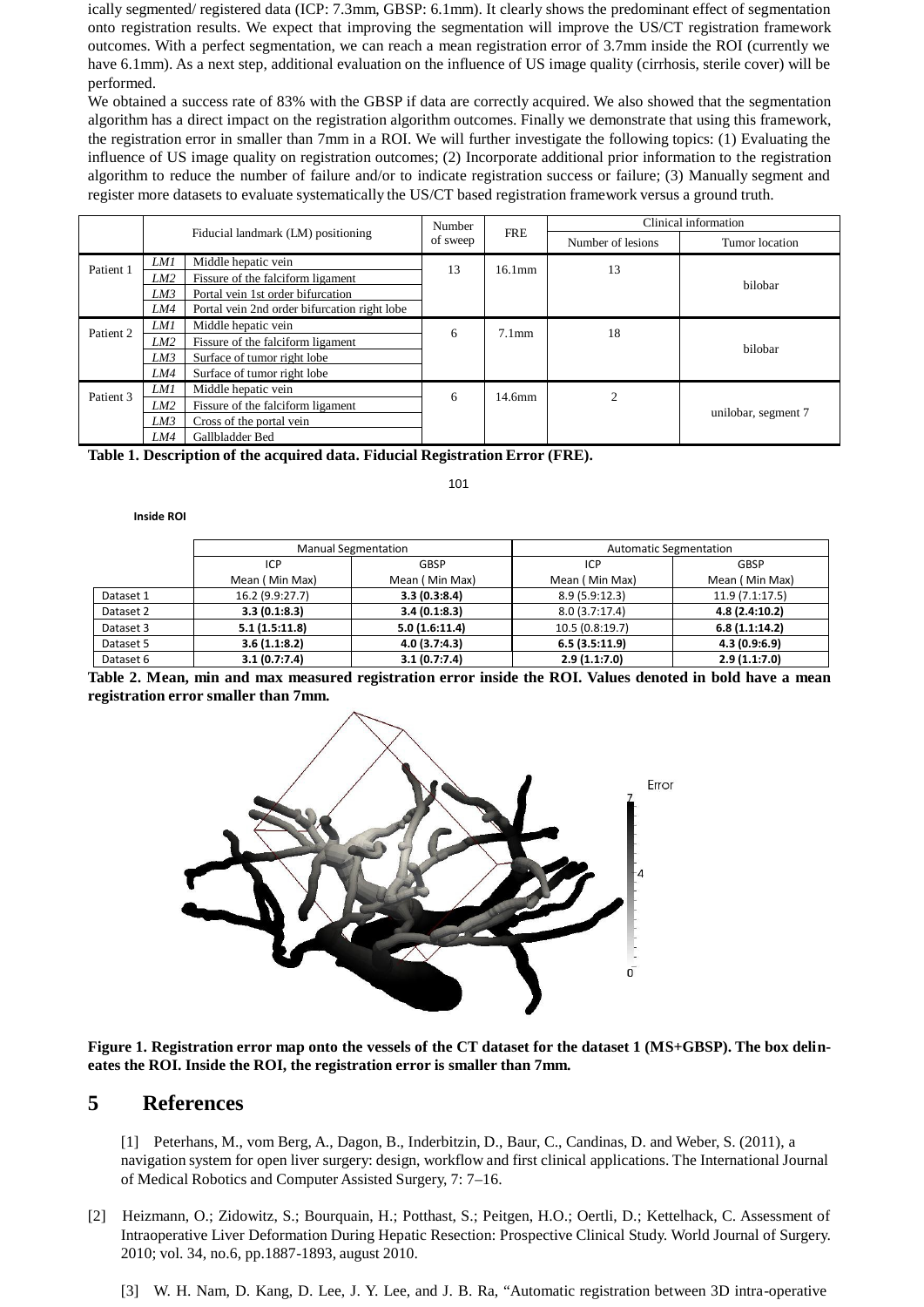ically segmented/ registered data (ICP: 7.3mm, GBSP: 6.1mm). It clearly shows the predominant effect of segmentation onto registration results. We expect that improving the segmentation will improve the US/CT registration framework outcomes. With a perfect segmentation, we can reach a mean registration error of 3.7mm inside the ROI (currently we have 6.1mm). As a next step, additional evaluation on the influence of US image quality (cirrhosis, sterile cover) will be performed.

We obtained a success rate of 83% with the GBSP if data are correctly acquired. We also showed that the segmentation algorithm has a direct impact on the registration algorithm outcomes. Finally we demonstrate that using this framework, the registration error in smaller than 7mm in a ROI. We will further investigate the following topics: (1) Evaluating the influence of US image quality on registration outcomes; (2) Incorporate additional prior information to the registration algorithm to reduce the number of failure and/or to indicate registration success or failure; (3) Manually segment and register more datasets to evaluate systematically the US/CT based registration framework versus a ground truth.

|           | Fiducial landmark (LM) positioning |                                              | Number<br>of sweep | <b>FRE</b>         | Clinical information |                     |  |
|-----------|------------------------------------|----------------------------------------------|--------------------|--------------------|----------------------|---------------------|--|
|           |                                    |                                              |                    |                    | Number of lesions    | Tumor location      |  |
| Patient 1 | LM1                                | Middle hepatic vein                          | 13                 | $16.1$ mm          | 13                   | bilobar             |  |
|           | LM2                                | Fissure of the falciform ligament            |                    |                    |                      |                     |  |
|           | LM3                                | Portal vein 1st order bifurcation            |                    |                    |                      |                     |  |
|           | LM4                                | Portal vein 2nd order bifurcation right lobe |                    |                    |                      |                     |  |
| Patient 2 | LM1                                | Middle hepatic vein                          | 6                  | $7.1$ mm           | 18                   | bilobar             |  |
|           | LM <sub>2</sub>                    | Fissure of the falciform ligament            |                    |                    |                      |                     |  |
|           | LM3                                | Surface of tumor right lobe                  |                    |                    |                      |                     |  |
|           | LM4                                | Surface of tumor right lobe                  |                    |                    |                      |                     |  |
| Patient 3 | LM1                                | Middle hepatic vein                          | 6                  | 14.6 <sub>mm</sub> | $\overline{c}$       | unilobar, segment 7 |  |
|           | LM2                                | Fissure of the falciform ligament            |                    |                    |                      |                     |  |
|           | LM3                                | Cross of the portal vein                     |                    |                    |                      |                     |  |
|           | LM4                                | Gallbladder Bed                              |                    |                    |                      |                     |  |

**Table 1. Description of the acquired data. Fiducial Registration Error (FRE).**

101

#### **Inside ROI**

|           | <b>Manual Segmentation</b> |                | <b>Automatic Segmentation</b> |                 |  |
|-----------|----------------------------|----------------|-------------------------------|-----------------|--|
|           | ICP                        | GBSP           | ICP                           | GBSP            |  |
|           | Mean (Min Max)             | Mean (Min Max) | Mean (Min Max)                | Mean (Min Max)  |  |
| Dataset 1 | 16.2 (9.9:27.7)            | 3.3(0.3:8.4)   | 8.9 (5.9:12.3)                | 11.9 (7.1:17.5) |  |
| Dataset 2 | 3.3(0.1:8.3)               | 3.4(0.1:8.3)   | 8.0(3.7:17.4)                 | 4.8(2.4:10.2)   |  |
| Dataset 3 | 5.1(1.5:11.8)              | 5.0(1.6:11.4)  | 10.5 (0.8:19.7)               | 6.8(1.1:14.2)   |  |
| Dataset 5 | 3.6(1.1:8.2)               | 4.0(3.7:4.3)   | 6.5(3.5:11.9)                 | 4.3(0.9:6.9)    |  |
| Dataset 6 | 3.1(0.7:7.4)               | 3.1(0.7:7.4)   | 2.9(1.1:7.0)                  | 2.9(1.1:7.0)    |  |

Table 2. Mean, min and max measured registration error inside the ROI. Values denoted in bold have a mean **registration error smaller than 7mm.**



**Figure 1. Registration error map onto the vessels of the CT dataset for the dataset 1 (MS+GBSP). The box delineates the ROI. Inside the ROI, the registration error is smaller than 7mm.**

#### **5 References**

[1] Peterhans, M., vom Berg, A., Dagon, B., Inderbitzin, D., Baur, C., Candinas, D. and Weber, S. (2011), a navigation system for open liver surgery: design, workflow and first clinical applications. The International Journal of Medical Robotics and Computer Assisted Surgery, 7: 7–16.

- [2] Heizmann, O.; Zidowitz, S.; Bourquain, H.; Potthast, S.; Peitgen, H.O.; Oertli, D.; Kettelhack, C. Assessment of Intraoperative Liver Deformation During Hepatic Resection: Prospective Clinical Study. World Journal of Surgery. 2010; vol. 34, no.6, pp.1887-1893, august 2010.
	- [3] W. H. Nam, D. Kang, D. Lee, J. Y. Lee, and J. B. Ra, "Automatic registration between 3D intra-operative